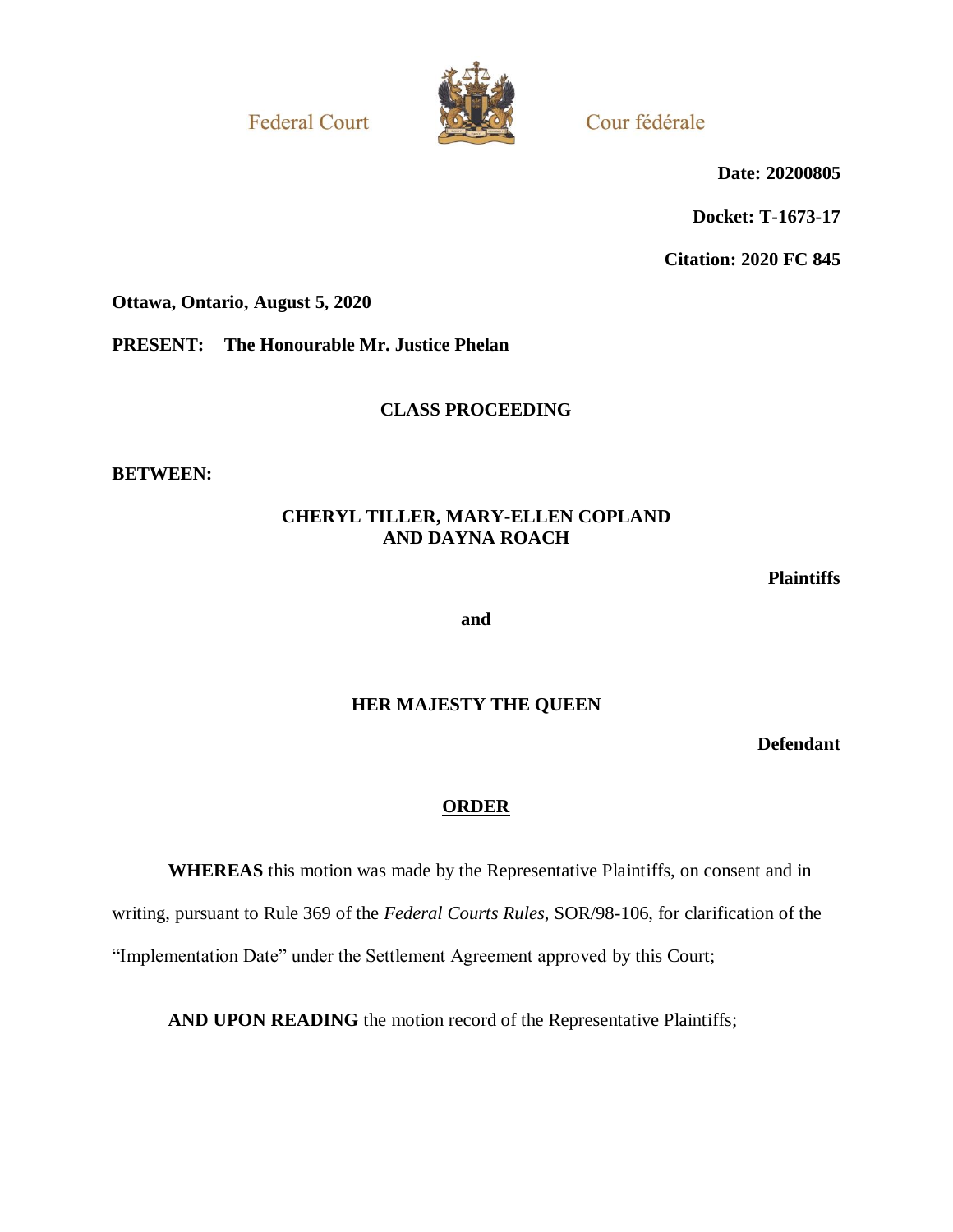**Federal Court** 



Cour fédérale

**Date: 20200805**

**Docket: T-1673-17**

**Citation: 2020 FC 845**

**Ottawa, Ontario, August 5, 2020**

**PRESENT: The Honourable Mr. Justice Phelan**

**CLASS PROCEEDING**

**BETWEEN:**

## **CHERYL TILLER, MARY-ELLEN COPLAND AND DAYNA ROACH**

**Plaintiffs**

**and**

## **HER MAJESTY THE QUEEN**

**Defendant**

## **ORDER**

**WHEREAS** this motion was made by the Representative Plaintiffs, on consent and in writing, pursuant to Rule 369 of the *Federal Courts Rules*, SOR/98-106, for clarification of the "Implementation Date" under the Settlement Agreement approved by this Court;

**AND UPON READING** the motion record of the Representative Plaintiffs;